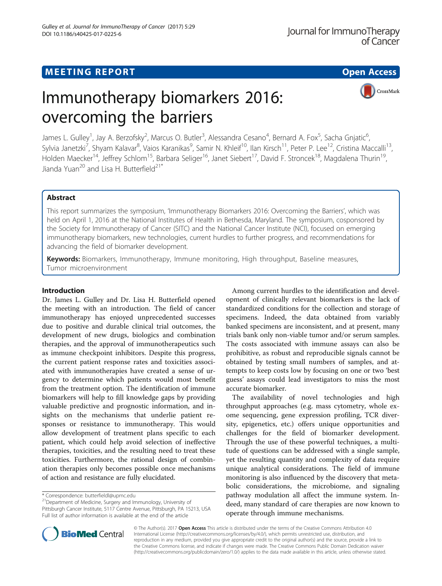## **MEETING REPORT CONSUMING A REPORT** And the set of the set of the set of the set of the set of the set of the set of the set of the set of the set of the set of the set of the set of the set of the set of the set of the se

CrossMark

# Immunotherapy biomarkers 2016: overcoming the barriers

James L. Gulley<sup>1</sup>, Jay A. Berzofsky<sup>2</sup>, Marcus O. Butler<sup>3</sup>, Alessandra Cesano<sup>4</sup>, Bernard A. Fox<sup>5</sup>, Sacha Gnjatic<sup>6</sup> , Sylvia Janetzki<sup>7</sup>, Shyam Kalavar<sup>8</sup>, Vaios Karanikas<sup>9</sup>, Samir N. Khleif<sup>10</sup>, Ilan Kirsch<sup>11</sup>, Peter P. Lee<sup>12</sup>, Cristina Maccalli<sup>13</sup>, Holden Maecker<sup>14</sup>, Jeffrey Schlom<sup>15</sup>, Barbara Seliger<sup>16</sup>, Janet Siebert<sup>17</sup>, David F. Stroncek<sup>18</sup>, Magdalena Thurin<sup>19</sup>, Jianda Yuan<sup>20</sup> and Lisa H. Butterfield<sup>21\*</sup>

## Abstract

This report summarizes the symposium, 'Immunotherapy Biomarkers 2016: Overcoming the Barriers', which was held on April 1, 2016 at the National Institutes of Health in Bethesda, Maryland. The symposium, cosponsored by the Society for Immunotherapy of Cancer (SITC) and the National Cancer Institute (NCI), focused on emerging immunotherapy biomarkers, new technologies, current hurdles to further progress, and recommendations for advancing the field of biomarker development.

Keywords: Biomarkers, Immunotherapy, Immune monitoring, High throughput, Baseline measures, Tumor microenvironment

## Introduction

Dr. James L. Gulley and Dr. Lisa H. Butterfield opened the meeting with an introduction. The field of cancer immunotherapy has enjoyed unprecedented successes due to positive and durable clinical trial outcomes, the development of new drugs, biologics and combination therapies, and the approval of immunotherapeutics such as immune checkpoint inhibitors. Despite this progress, the current patient response rates and toxicities associated with immunotherapies have created a sense of urgency to determine which patients would most benefit from the treatment option. The identification of immune biomarkers will help to fill knowledge gaps by providing valuable predictive and prognostic information, and insights on the mechanisms that underlie patient responses or resistance to immunotherapy. This would allow development of treatment plans specific to each patient, which could help avoid selection of ineffective therapies, toxicities, and the resulting need to treat these toxicities. Furthermore, the rational design of combination therapies only becomes possible once mechanisms of action and resistance are fully elucidated.

\* Correspondence: [butterfieldl@upmc.edu](mailto:butterfieldl@upmc.edu) 21Department of Medicine, Surgery and Immunology, University of Pittsburgh Cancer Institute, 5117 Centre Avenue, Pittsburgh, PA 15213, USA Full list of author information is available at the end of the article

Among current hurdles to the identification and development of clinically relevant biomarkers is the lack of standardized conditions for the collection and storage of specimens. Indeed, the data obtained from variably banked specimens are inconsistent, and at present, many trials bank only non-viable tumor and/or serum samples. The costs associated with immune assays can also be prohibitive, as robust and reproducible signals cannot be obtained by testing small numbers of samples, and attempts to keep costs low by focusing on one or two 'best guess' assays could lead investigators to miss the most accurate biomarker.

The availability of novel technologies and high throughput approaches (e.g. mass cytometry, whole exome sequencing, gene expression profiling, TCR diversity, epigenetics, etc.) offers unique opportunities and challenges for the field of biomarker development. Through the use of these powerful techniques, a multitude of questions can be addressed with a single sample, yet the resulting quantity and complexity of data require unique analytical considerations. The field of immune monitoring is also influenced by the discovery that metabolic considerations, the microbiome, and signaling pathway modulation all affect the immune system. Indeed, many standard of care therapies are now known to operate through immune mechanisms.



© The Author(s). 2017 **Open Access** This article is distributed under the terms of the Creative Commons Attribution 4.0 International License [\(http://creativecommons.org/licenses/by/4.0/](http://creativecommons.org/licenses/by/4.0/)), which permits unrestricted use, distribution, and reproduction in any medium, provided you give appropriate credit to the original author(s) and the source, provide a link to the Creative Commons license, and indicate if changes were made. The Creative Commons Public Domain Dedication waiver [\(http://creativecommons.org/publicdomain/zero/1.0/](http://creativecommons.org/publicdomain/zero/1.0/)) applies to the data made available in this article, unless otherwise stated.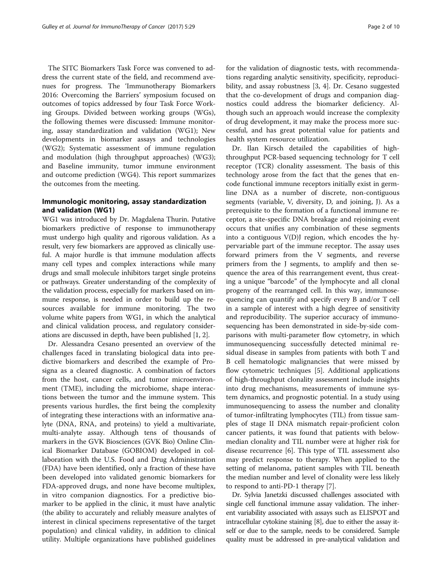The SITC Biomarkers Task Force was convened to address the current state of the field, and recommend avenues for progress. The 'Immunotherapy Biomarkers 2016: Overcoming the Barriers' symposium focused on outcomes of topics addressed by four Task Force Working Groups. Divided between working groups (WGs), the following themes were discussed: Immune monitoring, assay standardization and validation (WG1); New developments in biomarker assays and technologies (WG2); Systematic assessment of immune regulation and modulation (high throughput approaches) (WG3); and Baseline immunity, tumor immune environment and outcome prediction (WG4). This report summarizes the outcomes from the meeting.

## Immunologic monitoring, assay standardization and validation (WG1)

WG1 was introduced by Dr. Magdalena Thurin. Putative biomarkers predictive of response to immunotherapy must undergo high quality and rigorous validation. As a result, very few biomarkers are approved as clinically useful. A major hurdle is that immune modulation affects many cell types and complex interactions while many drugs and small molecule inhibitors target single proteins or pathways. Greater understanding of the complexity of the validation process, especially for markers based on immune response, is needed in order to build up the resources available for immune monitoring. The two volume white papers from WG1, in which the analytical and clinical validation process, and regulatory considerations are discussed in depth, have been published [\[1](#page-8-0), [2\]](#page-8-0).

Dr. Alessandra Cesano presented an overview of the challenges faced in translating biological data into predictive biomarkers and described the example of Prosigna as a cleared diagnostic. A combination of factors from the host, cancer cells, and tumor microenvironment (TME), including the microbiome, shape interactions between the tumor and the immune system. This presents various hurdles, the first being the complexity of integrating these interactions with an informative analyte (DNA, RNA, and proteins) to yield a multivariate, multi-analyte assay. Although tens of thousands of markers in the GVK Biosciences (GVK Bio) Online Clinical Biomarker Database (GOBIOM) developed in collaboration with the U.S. Food and Drug Administration (FDA) have been identified, only a fraction of these have been developed into validated genomic biomarkers for FDA-approved drugs, and none have become multiplex, in vitro companion diagnostics. For a predictive biomarker to be applied in the clinic, it must have analytic (the ability to accurately and reliably measure analytes of interest in clinical specimens representative of the target population) and clinical validity, in addition to clinical utility. Multiple organizations have published guidelines for the validation of diagnostic tests, with recommendations regarding analytic sensitivity, specificity, reproducibility, and assay robustness [\[3](#page-8-0), [4](#page-8-0)]. Dr. Cesano suggested that the co-development of drugs and companion diagnostics could address the biomarker deficiency. Although such an approach would increase the complexity of drug development, it may make the process more successful, and has great potential value for patients and health system resource utilization.

Dr. Ilan Kirsch detailed the capabilities of highthroughput PCR-based sequencing technology for T cell receptor (TCR) clonality assessment. The basis of this technology arose from the fact that the genes that encode functional immune receptors initially exist in germline DNA as a number of discrete, non-contiguous segments (variable, V, diversity, D, and joining, J). As a prerequisite to the formation of a functional immune receptor, a site-specific DNA breakage and rejoining event occurs that unifies any combination of these segments into a contiguous  $V(D)$  region, which encodes the hypervariable part of the immune receptor. The assay uses forward primers from the V segments, and reverse primers from the J segments, to amplify and then sequence the area of this rearrangement event, thus creating a unique "barcode" of the lymphocyte and all clonal progeny of the rearranged cell. In this way, immunosequencing can quantify and specify every B and/or T cell in a sample of interest with a high degree of sensitivity and reproducibility. The superior accuracy of immunosequencing has been demonstrated in side-by-side comparisons with multi-parameter flow cytometry, in which immunosequencing successfully detected minimal residual disease in samples from patients with both T and B cell hematologic malignancies that were missed by flow cytometric techniques [[5\]](#page-8-0). Additional applications of high-throughput clonality assessment include insights into drug mechanisms, measurements of immune system dynamics, and prognostic potential. In a study using immunosequencing to assess the number and clonality of tumor-infiltrating lymphocytes (TIL) from tissue samples of stage II DNA mismatch repair-proficient colon cancer patients, it was found that patients with belowmedian clonality and TIL number were at higher risk for disease recurrence [\[6](#page-8-0)]. This type of TIL assessment also may predict response to therapy. When applied to the setting of melanoma, patient samples with TIL beneath the median number and level of clonality were less likely to respond to anti-PD-1 therapy [[7\]](#page-8-0).

Dr. Sylvia Janetzki discussed challenges associated with single cell functional immune assay validation. The inherent variability associated with assays such as ELISPOT and intracellular cytokine staining [\[8\]](#page-8-0), due to either the assay itself or due to the sample, needs to be considered. Sample quality must be addressed in pre-analytical validation and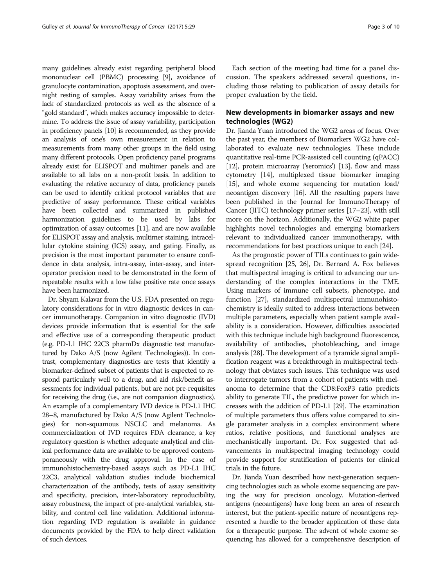many guidelines already exist regarding peripheral blood mononuclear cell (PBMC) processing [\[9](#page-8-0)], avoidance of granulocyte contamination, apoptosis assessment, and overnight resting of samples. Assay variability arises from the lack of standardized protocols as well as the absence of a "gold standard", which makes accuracy impossible to determine. To address the issue of assay variability, participation in proficiency panels [\[10\]](#page-8-0) is recommended, as they provide an analysis of one's own measurement in relation to measurements from many other groups in the field using many different protocols. Open proficiency panel programs already exist for ELISPOT and multimer panels and are available to all labs on a non-profit basis. In addition to evaluating the relative accuracy of data, proficiency panels can be used to identify critical protocol variables that are predictive of assay performance. These critical variables have been collected and summarized in published harmonization guidelines to be used by labs for optimization of assay outcomes [\[11\]](#page-8-0), and are now available for ELISPOT assay and analysis, multimer staining, intracellular cytokine staining (ICS) assay, and gating. Finally, as precision is the most important parameter to ensure confidence in data analysis, intra-assay, inter-assay, and interoperator precision need to be demonstrated in the form of repeatable results with a low false positive rate once assays have been harmonized.

Dr. Shyam Kalavar from the U.S. FDA presented on regulatory considerations for in vitro diagnostic devices in cancer immunotherapy. Companion in vitro diagnostic (IVD) devices provide information that is essential for the safe and effective use of a corresponding therapeutic product (e.g. PD-L1 IHC 22C3 pharmDx diagnostic test manufactured by Dako A/S (now Agilent Technologies)). In contrast, complementary diagnostics are tests that identify a biomarker-defined subset of patients that is expected to respond particularly well to a drug, and aid risk/benefit assessments for individual patients, but are not pre-requisites for receiving the drug (i.e., are not companion diagnostics). An example of a complementary IVD device is PD-L1 IHC 28–8, manufactured by Dako A/S (now Agilent Technologies) for non-squamous NSCLC and melanoma. As commercialization of IVD requires FDA clearance, a key regulatory question is whether adequate analytical and clinical performance data are available to be approved contemporaneously with the drug approval. In the case of immunohistochemistry-based assays such as PD-L1 IHC 22C3, analytical validation studies include biochemical characterization of the antibody, tests of assay sensitivity and specificity, precision, inter-laboratory reproducibility, assay robustness, the impact of pre-analytical variables, stability, and control cell line validation. Additional information regarding IVD regulation is available in guidance documents provided by the FDA to help direct validation of such devices.

Each section of the meeting had time for a panel discussion. The speakers addressed several questions, including those relating to publication of assay details for proper evaluation by the field.

## New developments in biomarker assays and new technologies (WG2)

Dr. Jianda Yuan introduced the WG2 areas of focus. Over the past year, the members of Biomarkers WG2 have collaborated to evaluate new technologies. These include quantitative real-time PCR-assisted cell counting (qPACC) [[12](#page-8-0)], protein microarray ('seromics') [\[13](#page-8-0)], flow and mass cytometry [\[14](#page-8-0)], multiplexed tissue biomarker imaging [[15](#page-8-0)], and whole exome sequencing for mutation load/ neoantigen discovery [\[16\]](#page-8-0). All the resulting papers have been published in the Journal for ImmunoTherapy of Cancer (JITC) technology primer series [\[17](#page-8-0)–[23](#page-8-0)], with still more on the horizon. Additionally, the WG2 white paper highlights novel technologies and emerging biomarkers relevant to individualized cancer immunotherapy, with recommendations for best practices unique to each [\[24\]](#page-8-0).

As the prognostic power of TILs continues to gain widespread recognition [[25](#page-8-0), [26](#page-8-0)], Dr. Bernard A. Fox believes that multispectral imaging is critical to advancing our understanding of the complex interactions in the TME. Using markers of immune cell subsets, phenotype, and function [[27\]](#page-8-0), standardized multispectral immunohistochemistry is ideally suited to address interactions between multiple parameters, especially when patient sample availability is a consideration. However, difficulties associated with this technique include high background fluorescence, availability of antibodies, photobleaching, and image analysis [\[28\]](#page-8-0). The development of a tyramide signal amplification reagent was a breakthrough in multispectral technology that obviates such issues. This technique was used to interrogate tumors from a cohort of patients with melanoma to determine that the CD8:FoxP3 ratio predicts ability to generate TIL, the predictive power for which increases with the addition of PD-L1 [\[29\]](#page-8-0). The examination of multiple parameters thus offers value compared to single parameter analysis in a complex environment where ratios, relative positions, and functional analyses are mechanistically important. Dr. Fox suggested that advancements in multispectral imaging technology could provide support for stratification of patients for clinical trials in the future.

Dr. Jianda Yuan described how next-generation sequencing technologies such as whole exome sequencing are paving the way for precision oncology. Mutation-derived antigens (neoantigens) have long been an area of research interest, but the patient-specific nature of neoantigens represented a hurdle to the broader application of these data for a therapeutic purpose. The advent of whole exome sequencing has allowed for a comprehensive description of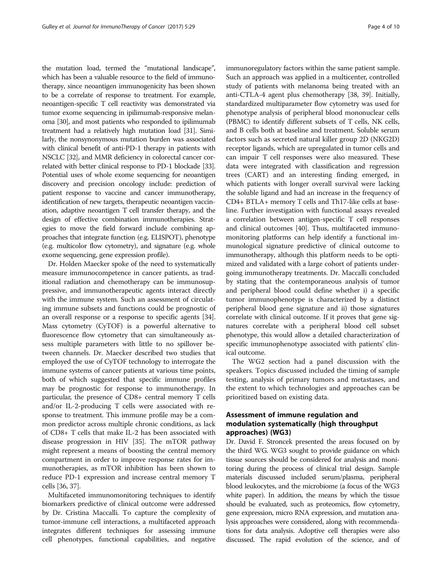the mutation load, termed the "mutational landscape", which has been a valuable resource to the field of immunotherapy, since neoantigen immunogenicity has been shown to be a correlate of response to treatment. For example, neoantigen-specific T cell reactivity was demonstrated via tumor exome sequencing in ipilimumab-responsive melanoma [[30](#page-8-0)], and most patients who responded to ipilimumab treatment had a relatively high mutation load [[31](#page-8-0)]. Similarly, the nonsynonymous mutation burden was associated with clinical benefit of anti-PD-1 therapy in patients with NSCLC [\[32](#page-8-0)], and MMR deficiency in colorectal cancer correlated with better clinical response to PD-1 blockade [\[33](#page-8-0)]. Potential uses of whole exome sequencing for neoantigen discovery and precision oncology include: prediction of patient response to vaccine and cancer immunotherapy, identification of new targets, therapeutic neoantigen vaccination, adaptive neoantigen T cell transfer therapy, and the design of effective combination immunotherapies. Strategies to move the field forward include combining approaches that integrate function (e.g. ELISPOT), phenotype (e.g. multicolor flow cytometry), and signature (e.g. whole exome sequencing, gene expression profile).

Dr. Holden Maecker spoke of the need to systematically measure immunocompetence in cancer patients, as traditional radiation and chemotherapy can be immunosuppressive, and immunotherapeutic agents interact directly with the immune system. Such an assessment of circulating immune subsets and functions could be prognostic of an overall response or a response to specific agents [[34](#page-8-0)]. Mass cytometry (CyTOF) is a powerful alternative to fluorescence flow cytometry that can simultaneously assess multiple parameters with little to no spillover between channels. Dr. Maecker described two studies that employed the use of CyTOF technology to interrogate the immune systems of cancer patients at various time points, both of which suggested that specific immune profiles may be prognostic for response to immunotherapy. In particular, the presence of CD8+ central memory T cells and/or IL-2-producing T cells were associated with response to treatment. This immune profile may be a common predictor across multiple chronic conditions, as lack of CD8+ T cells that make IL-2 has been associated with disease progression in HIV [[35](#page-8-0)]. The mTOR pathway might represent a means of boosting the central memory compartment in order to improve response rates for immunotherapies, as mTOR inhibition has been shown to reduce PD-1 expression and increase central memory T cells [[36](#page-8-0), [37\]](#page-8-0).

Multifaceted immunomonitoring techniques to identify biomarkers predictive of clinical outcome were addressed by Dr. Cristina Maccalli. To capture the complexity of tumor-immune cell interactions, a multifaceted approach integrates different techniques for assessing immune cell phenotypes, functional capabilities, and negative immunoregulatory factors within the same patient sample. Such an approach was applied in a multicenter, controlled study of patients with melanoma being treated with an anti-CTLA-4 agent plus chemotherapy [[38](#page-8-0), [39](#page-8-0)]. Initially, standardized multiparameter flow cytometry was used for phenotype analysis of peripheral blood mononuclear cells (PBMC) to identify different subsets of T cells, NK cells, and B cells both at baseline and treatment. Soluble serum factors such as secreted natural killer group 2D (NKG2D) receptor ligands, which are upregulated in tumor cells and can impair T cell responses were also measured. These data were integrated with classification and regression trees (CART) and an interesting finding emerged, in which patients with longer overall survival were lacking the soluble ligand and had an increase in the frequency of CD4+ BTLA+ memory T cells and Th17-like cells at baseline. Further investigation with functional assays revealed a correlation between antigen-specific T cell responses and clinical outcomes [[40](#page-8-0)]. Thus, multifaceted immunomonitoring platforms can help identify a functional immunological signature predictive of clinical outcome to immunotherapy, although this platform needs to be optimized and validated with a large cohort of patients undergoing immunotherapy treatments. Dr. Maccalli concluded by stating that the contemporaneous analysis of tumor and peripheral blood could define whether i) a specific tumor immunophenotype is characterized by a distinct peripheral blood gene signature and ii) those signatures correlate with clinical outcome. If it proves that gene signatures correlate with a peripheral blood cell subset phenotype, this would allow a detailed characterization of specific immunophenotype associated with patients' clinical outcome.

The WG2 section had a panel discussion with the speakers. Topics discussed included the timing of sample testing, analysis of primary tumors and metastases, and the extent to which technologies and approaches can be prioritized based on existing data.

## Assessment of immune regulation and modulation systematically (high throughput approaches) (WG3)

Dr. David F. Stroncek presented the areas focused on by the third WG. WG3 sought to provide guidance on which tissue sources should be considered for analysis and monitoring during the process of clinical trial design. Sample materials discussed included serum/plasma, peripheral blood leukocytes, and the microbiome (a focus of the WG3 white paper). In addition, the means by which the tissue should be evaluated, such as proteomics, flow cytometry, gene expression, micro RNA expression, and mutation analysis approaches were considered, along with recommendations for data analysis. Adoptive cell therapies were also discussed. The rapid evolution of the science, and of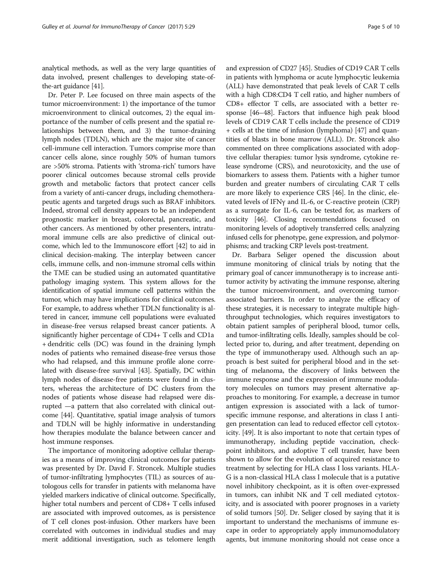analytical methods, as well as the very large quantities of data involved, present challenges to developing state-ofthe-art guidance [\[41\]](#page-8-0).

Dr. Peter P. Lee focused on three main aspects of the tumor microenvironment: 1) the importance of the tumor microenvironment to clinical outcomes, 2) the equal importance of the number of cells present and the spatial relationships between them, and 3) the tumor-draining lymph nodes (TDLN), which are the major site of cancer cell-immune cell interaction. Tumors comprise more than cancer cells alone, since roughly 50% of human tumors are >50% stroma. Patients with 'stroma-rich' tumors have poorer clinical outcomes because stromal cells provide growth and metabolic factors that protect cancer cells from a variety of anti-cancer drugs, including chemotherapeutic agents and targeted drugs such as BRAF inhibitors. Indeed, stromal cell density appears to be an independent prognostic marker in breast, colorectal, pancreatic, and other cancers. As mentioned by other presenters, intratumoral immune cells are also predictive of clinical outcome, which led to the Immunoscore effort [\[42\]](#page-8-0) to aid in clinical decision-making. The interplay between cancer cells, immune cells, and non-immune stromal cells within the TME can be studied using an automated quantitative pathology imaging system. This system allows for the identification of spatial immune cell patterns within the tumor, which may have implications for clinical outcomes. For example, to address whether TDLN functionality is altered in cancer, immune cell populations were evaluated in disease-free versus relapsed breast cancer patients. A significantly higher percentage of CD4+ T cells and CD1a + dendritic cells (DC) was found in the draining lymph nodes of patients who remained disease-free versus those who had relapsed, and this immune profile alone correlated with disease-free survival [\[43](#page-8-0)]. Spatially, DC within lymph nodes of disease-free patients were found in clusters, whereas the architecture of DC clusters from the nodes of patients whose disease had relapsed were disrupted —a pattern that also correlated with clinical outcome [\[44\]](#page-8-0). Quantitative, spatial image analysis of tumors and TDLN will be highly informative in understanding how therapies modulate the balance between cancer and host immune responses.

The importance of monitoring adoptive cellular therapies as a means of improving clinical outcomes for patients was presented by Dr. David F. Stroncek. Multiple studies of tumor-infiltrating lymphocytes (TIL) as sources of autologous cells for transfer in patients with melanoma have yielded markers indicative of clinical outcome. Specifically, higher total numbers and percent of CD8+ T cells infused are associated with improved outcomes, as is persistence of T cell clones post-infusion. Other markers have been correlated with outcomes in individual studies and may merit additional investigation, such as telomere length and expression of CD27 [\[45\]](#page-9-0). Studies of CD19 CAR T cells in patients with lymphoma or acute lymphocytic leukemia (ALL) have demonstrated that peak levels of CAR T cells with a high CD8:CD4 T cell ratio, and higher numbers of CD8+ effector T cells, are associated with a better response [[46](#page-9-0)–[48\]](#page-9-0). Factors that influence high peak blood levels of CD19 CAR T cells include the presence of CD19 + cells at the time of infusion (lymphoma) [[47](#page-9-0)] and quantities of blasts in bone marrow (ALL). Dr. Stroncek also commented on three complications associated with adoptive cellular therapies: tumor lysis syndrome, cytokine release syndrome (CRS), and neurotoxicity, and the use of biomarkers to assess them. Patients with a higher tumor burden and greater numbers of circulating CAR T cells are more likely to experience CRS [[46](#page-9-0)]. In the clinic, elevated levels of IFNγ and IL-6, or C-reactive protein (CRP) as a surrogate for IL-6, can be tested for, as markers of toxicity [[46\]](#page-9-0). Closing recommendations focused on monitoring levels of adoptively transferred cells; analyzing infused cells for phenotype, gene expression, and polymorphisms; and tracking CRP levels post-treatment.

Dr. Barbara Seliger opened the discussion about immune monitoring of clinical trials by noting that the primary goal of cancer immunotherapy is to increase antitumor activity by activating the immune response, altering the tumor microenvironment, and overcoming tumorassociated barriers. In order to analyze the efficacy of these strategies, it is necessary to integrate multiple highthroughput technologies, which requires investigators to obtain patient samples of peripheral blood, tumor cells, and tumor-infiltrating cells. Ideally, samples should be collected prior to, during, and after treatment, depending on the type of immunotherapy used. Although such an approach is best suited for peripheral blood and in the setting of melanoma, the discovery of links between the immune response and the expression of immune modulatory molecules on tumors may present alternative approaches to monitoring. For example, a decrease in tumor antigen expression is associated with a lack of tumorspecific immune response, and alterations in class I antigen presentation can lead to reduced effector cell cytotoxicity. [\[49](#page-9-0)]. It is also important to note that certain types of immunotherapy, including peptide vaccination, checkpoint inhibitors, and adoptive T cell transfer, have been shown to allow for the evolution of acquired resistance to treatment by selecting for HLA class I loss variants. HLA-G is a non-classical HLA class I molecule that is a putative novel inhibitory checkpoint, as it is often over-expressed in tumors, can inhibit NK and T cell mediated cytotoxicity, and is associated with poorer prognoses in a variety of solid tumors [[50](#page-9-0)]. Dr. Seliger closed by saying that it is important to understand the mechanisms of immune escape in order to appropriately apply immunomodulatory agents, but immune monitoring should not cease once a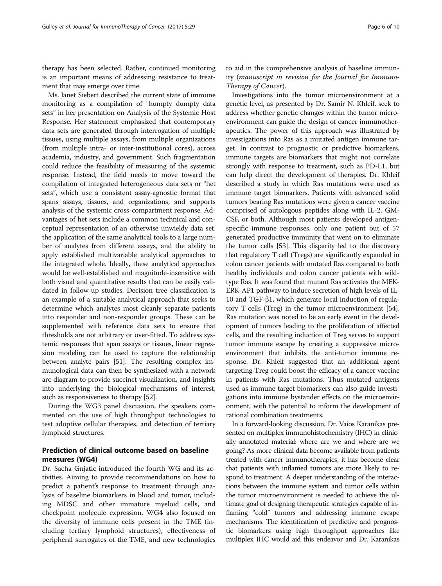therapy has been selected. Rather, continued monitoring is an important means of addressing resistance to treatment that may emerge over time.

Ms. Janet Siebert described the current state of immune monitoring as a compilation of "humpty dumpty data sets" in her presentation on Analysis of the Systemic Host Response. Her statement emphasized that contemporary data sets are generated through interrogation of multiple tissues, using multiple assays, from multiple organizations (from multiple intra- or inter-institutional cores), across academia, industry, and government. Such fragmentation could reduce the feasibility of measuring of the systemic response. Instead, the field needs to move toward the compilation of integrated heterogeneous data sets or "het sets", which use a consistent assay-agnostic format that spans assays, tissues, and organizations, and supports analysis of the systemic cross-compartment response. Advantages of het sets include a common technical and conceptual representation of an otherwise unwieldy data set, the application of the same analytical tools to a large number of analytes from different assays, and the ability to apply established multivariable analytical approaches to the integrated whole. Ideally, these analytical approaches would be well-established and magnitude-insensitive with both visual and quantitative results that can be easily validated in follow-up studies. Decision tree classification is an example of a suitable analytical approach that seeks to determine which analytes most cleanly separate patients into responder and non-responder groups. These can be supplemented with reference data sets to ensure that thresholds are not arbitrary or over-fitted. To address systemic responses that span assays or tissues, linear regression modeling can be used to capture the relationship between analyte pairs [\[51\]](#page-9-0). The resulting complex immunological data can then be synthesized with a network arc diagram to provide succinct visualization, and insights into underlying the biological mechanisms of interest, such as responsiveness to therapy [[52](#page-9-0)].

During the WG3 panel discussion, the speakers commented on the use of high throughput technologies to test adoptive cellular therapies, and detection of tertiary lymphoid structures.

## Prediction of clinical outcome based on baseline measures (WG4)

Dr. Sacha Gnjatic introduced the fourth WG and its activities. Aiming to provide recommendations on how to predict a patient's response to treatment through analysis of baseline biomarkers in blood and tumor, including MDSC and other immature myeloid cells, and checkpoint molecule expression. WG4 also focused on the diversity of immune cells present in the TME (including tertiary lymphoid structures), effectiveness of peripheral surrogates of the TME, and new technologies

to aid in the comprehensive analysis of baseline immunity (manuscript in revision for the Journal for Immuno-Therapy of Cancer).

Investigations into the tumor microenvironment at a genetic level, as presented by Dr. Samir N. Khleif, seek to address whether genetic changes within the tumor microenvironment can guide the design of cancer immunotherapeutics. The power of this approach was illustrated by investigations into Ras as a mutated antigen immune target. In contrast to prognostic or predictive biomarkers, immune targets are biomarkers that might not correlate strongly with response to treatment, such as PD-L1, but can help direct the development of therapies. Dr. Khleif described a study in which Ras mutations were used as immune target biomarkers. Patients with advanced solid tumors bearing Ras mutations were given a cancer vaccine comprised of autologous peptides along with IL-2, GM-CSF, or both. Although most patients developed antigenspecific immune responses, only one patient out of 57 generated productive immunity that went on to eliminate the tumor cells [[53](#page-9-0)]. This disparity led to the discovery that regulatory T cell (Tregs) are significantly expanded in colon cancer patients with mutated Ras compared to both healthy individuals and colon cancer patients with wildtype Ras. It was found that mutant Ras activates the MEK-ERK-AP1 pathway to induce secretion of high levels of IL-10 and TGF-β1, which generate local induction of regulatory T cells (Treg) in the tumor microenvironment [[54](#page-9-0)]. Ras mutation was noted to be an early event in the development of tumors leading to the proliferation of affected cells, and the resulting induction of Treg serves to support tumor immune escape by creating a suppressive microenvironment that inhibits the anti-tumor immune response. Dr. Khleif suggested that an additional agent targeting Treg could boost the efficacy of a cancer vaccine in patients with Ras mutations. Thus mutated antigens used as immune target biomarkers can also guide investigations into immune bystander effects on the microenvironment, with the potential to inform the development of rational combination treatments.

In a forward-looking discussion, Dr. Vaios Karanikas presented on multiplex immunohistochemistry (IHC) in clinically annotated material: where are we and where are we going? As more clinical data become available from patients treated with cancer immunotherapies, it has become clear that patients with inflamed tumors are more likely to respond to treatment. A deeper understanding of the interactions between the immune system and tumor cells within the tumor microenvironment is needed to achieve the ultimate goal of designing therapeutic strategies capable of inflaming "cold" tumors and addressing immune escape mechanisms. The identification of predictive and prognostic biomarkers using high throughput approaches like multiplex IHC would aid this endeavor and Dr. Karanikas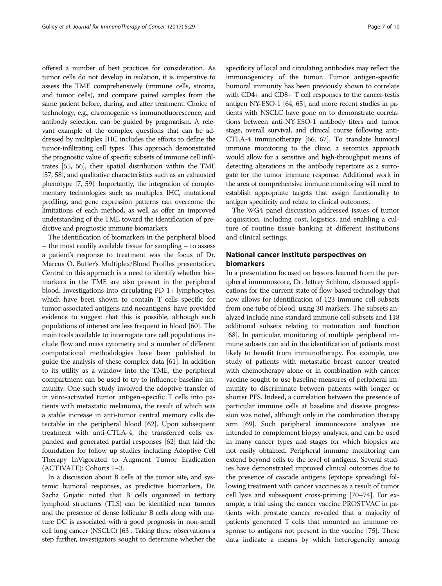offered a number of best practices for consideration. As tumor cells do not develop in isolation, it is imperative to assess the TME comprehensively (immune cells, stroma, and tumor cells), and compare paired samples from the same patient before, during, and after treatment. Choice of technology, e.g., chromogenic vs immunofluorescence, and antibody selection, can be guided by pragmatism. A relevant example of the complex questions that can be addressed by multiplex IHC includes the efforts to define the tumor-infiltrating cell types. This approach demonstrated the prognostic value of specific subsets of immune cell infiltrates [\[55](#page-9-0), [56\]](#page-9-0), their spatial distribution within the TME [[57](#page-9-0), [58](#page-9-0)], and qualitative characteristics such as an exhausted phenotype [\[7,](#page-8-0) [59](#page-9-0)]. Importantly, the integration of complementary technologies such as multiplex IHC, mutational profiling, and gene expression patterns can overcome the limitations of each method, as well as offer an improved understanding of the TME toward the identification of predictive and prognostic immune biomarkers.

The identification of biomarkers in the peripheral blood – the most readily available tissue for sampling – to assess a patient's response to treatment was the focus of Dr. Marcus O. Butler's Multiplex/Blood Profiles presentation. Central to this approach is a need to identify whether biomarkers in the TME are also present in the peripheral blood. Investigations into circulating PD-1+ lymphocytes, which have been shown to contain T cells specific for tumor-associated antigens and neoantigens, have provided evidence to suggest that this is possible, although such populations of interest are less frequent in blood [\[60\]](#page-9-0). The main tools available to interrogate rare cell populations include flow and mass cytometry and a number of different computational methodologies have been published to guide the analysis of these complex data [[61](#page-9-0)]. In addition to its utility as a window into the TME, the peripheral compartment can be used to try to influence baseline immunity. One such study involved the adoptive transfer of in vitro-activated tumor antigen-specific T cells into patients with metastatic melanoma, the result of which was a stable increase in anti-tumor central memory cells detectable in the peripheral blood [\[62](#page-9-0)]. Upon subsequent treatment with anti-CTLA-4, the transferred cells expanded and generated partial responses [[62](#page-9-0)] that laid the foundation for follow up studies including Adoptive Cell Therapy InVigorated to Augment Tumor Eradication (ACTIVATE): Cohorts 1–3.

In a discussion about B cells at the tumor site, and systemic humoral responses, as predictive biomarkers, Dr. Sacha Gnjatic noted that B cells organized in tertiary lymphoid structures (TLS) can be identified near tumors and the presence of dense follicular B cells along with mature DC is associated with a good prognosis in non-small cell lung cancer (NSCLC) [\[63\]](#page-9-0). Taking these observations a step further, investigators sought to determine whether the specificity of local and circulating antibodies may reflect the immunogenicity of the tumor. Tumor antigen-specific humoral immunity has been previously shown to correlate with CD4+ and CD8+ T cell responses to the cancer-testis antigen NY-ESO-1 [\[64, 65](#page-9-0)], and more recent studies in patients with NSCLC have gone on to demonstrate correlations between anti-NY-ESO-1 antibody titers and tumor stage, overall survival, and clinical course following anti-CTLA-4 immunotherapy [\[66, 67](#page-9-0)]. To translate humoral immune monitoring to the clinic, a seromics approach would allow for a sensitive and high-throughput means of detecting alterations in the antibody repertoire as a surrogate for the tumor immune response. Additional work in the area of comprehensive immune monitoring will need to establish appropriate targets that assign functionality to antigen specificity and relate to clinical outcomes.

The WG4 panel discussion addressed issues of tumor acquisition, including cost, logistics, and enabling a culture of routine tissue banking at different institutions and clinical settings.

## National cancer institute perspectives on biomarkers

In a presentation focused on lessons learned from the peripheral immunoscore, Dr. Jeffrey Schlom, discussed applications for the current state of flow-based technology that now allows for identification of 123 immune cell subsets from one tube of blood, using 30 markers. The subsets analyzed include nine standard immune cell subsets and 118 additional subsets relating to maturation and function [[68](#page-9-0)]. In particular, monitoring of multiple peripheral immune subsets can aid in the identification of patients most likely to benefit from immunotherapy. For example, one study of patients with metastatic breast cancer treated with chemotherapy alone or in combination with cancer vaccine sought to use baseline measures of peripheral immunity to discriminate between patients with longer or shorter PFS. Indeed, a correlation between the presence of particular immune cells at baseline and disease progression was noted, although only in the combination therapy arm [\[69](#page-9-0)]. Such peripheral immunoscore analyses are intended to complement biopsy analyses, and can be used in many cancer types and stages for which biopsies are not easily obtained. Peripheral immune monitoring can extend beyond cells to the level of antigens. Several studies have demonstrated improved clinical outcomes due to the presence of cascade antigens (epitope spreading) following treatment with cancer vaccines as a result of tumor cell lysis and subsequent cross-priming [[70](#page-9-0)–[74](#page-9-0)]. For example, a trial using the cancer vaccine PROSTVAC in patients with prostate cancer revealed that a majority of patients generated T cells that mounted an immune response to antigens not present in the vaccine [\[75](#page-9-0)]. These data indicate a means by which heterogeneity among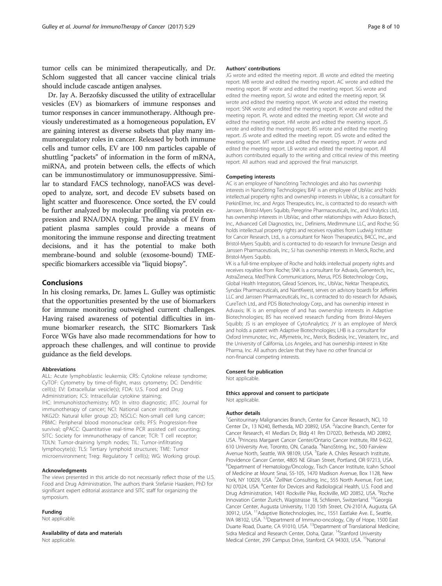tumor cells can be minimized therapeutically, and Dr. Schlom suggested that all cancer vaccine clinical trials should include cascade antigen analyses.

Dr. Jay A. Berzofsky discussed the utility of extracellular vesicles (EV) as biomarkers of immune responses and tumor responses in cancer immunotherapy. Although previously underestimated as a homogeneous population, EV are gaining interest as diverse subsets that play many immunoregulatory roles in cancer. Released by both immune cells and tumor cells, EV are 100 nm particles capable of shuttling "packets" of information in the form of mRNA, miRNA, and protein between cells, the effects of which can be immunostimulatory or immunosuppressive. Similar to standard FACS technology, nanoFACS was developed to analyze, sort, and decode EV subsets based on light scatter and fluorescence. Once sorted, the EV could be further analyzed by molecular profiling via protein expression and RNA/DNA typing. The analysis of EV from patient plasma samples could provide a means of monitoring the immune response and directing treatment decisions, and it has the potential to make both membrane-bound and soluble (exosome-bound) TMEspecific biomarkers accessible via "liquid biopsy".

## Conclusions

In his closing remarks, Dr. James L. Gulley was optimistic that the opportunities presented by the use of biomarkers for immune monitoring outweighed current challenges. Having raised awareness of potential difficulties in immune biomarker research, the SITC Biomarkers Task Force WGs have also made recommendations for how to approach these challenges, and will continue to provide guidance as the field develops.

#### Abbreviations

ALL: Acute lymphoblastic leukemia; CRS: Cytokine release syndrome; CyTOF: Cytometry by time-of-flight, mass cytometry; DC: Dendritic cell(s); EV: Extracellular vesicle(s); FDA: U.S. Food and Drug Administration; ICS: Intracellular cytokine staining; IHC: Immunohistochemistry; IVD: In vitro diagnostic; JITC: Journal for immunotherapy of cancer; NCI: National cancer institute; NKG2D: Natural killer group 2D; NSCLC: Non-small cell lung cancer; PBMC: Peripheral blood mononuclear cells; PFS: Progression-free survival; qPACC: Quantitative real-time PCR assisted cell counting; SITC: Society for immunotherapy of cancer; TCR: T cell receptor; TDLN: Tumor-draining lymph nodes; TIL: Tumor-infiltrating lymphocyte(s); TLS: Tertiary lymphoid structures; TME: Tumor microenvironment; Treg: Regulatory T cell(s); WG: Working group.

#### Acknowledgments

The views presented in this article do not necessarily reflect those of the U.S. Food and Drug Administration. The authors thank Stefanie Haasken, PhD for significant expert editorial assistance and SITC staff for organizing the symposium.

## Funding

Not applicable.

Availability of data and materials Not applicable.

#### Authors' contributions

JG wrote and edited the meeting report. JB wrote and edited the meeting report. MB wrote and edited the meeting report. AC wrote and edited the meeting report. BF wrote and edited the meeting report. SG wrote and edited the meeting report. SJ wrote and edited the meeting report. SK wrote and edited the meeting report. VK wrote and edited the meeting report. SNK wrote and edited the meeting report. IK wrote and edited the meeting report. PL wrote and edited the meeting report. CM wrote and edited the meeting report. HM wrote and edited the meeting report. JS wrote and edited the meeting report. BS wrote and edited the meeting report. JS wrote and edited the meeting report. DS wrote and edited the meeting report. MT wrote and edited the meeting report. JY wrote and edited the meeting report. LB wrote and edited the meeting report. All authors contributed equally to the writing and critical review of this meeting report. All authors read and approved the final manuscript.

#### Competing interests

AC is an employee of NanoString Technologies and also has ownership interests in NanoString Technologies; BAF is an employee of UbiVac and holds intellectual property rights and ownership interests in UbiVac, is a consultant for PerkinElmer, Inc. and Argos Therapeutics, Inc., is contracted to do research with Janssen, Bristol-Myers Squibb, Peregrine Pharmaceuticals, Inc., and Viralytics Ltd., has ownership interests in UbiVac, and other relationships with Aduro Biotech, Inc., Advanced Cell Diagnostics, Inc., Definiens, MedImmune LLC, and Roche; SG holds intellectual property rights and receives royalties from Ludwig Institute for Cancer Research, Ltd., is a consultant for Neon Therapeutics, B4CC, Inc., and Bristol-Myers Squibb, and is contracted to do research for Immune Design and Janssen Pharmaceuticals, Inc.; SJ has ownership interests in Merck, Roche, and Bristol-Myers Squibb.

VK is a full-time employee of Roche and holds intellectual property rights and receives royalties from Roche; SNK is a consultant for Advaxis, Genentech, Inc., AstraZeneca, MedThink Communications, Merus, PDS Biotechnology Corp., Global Health Integrators, Gilead Sciences, Inc., UbiVac, Nektar Therapeutics, Syndax Pharmaceuticals, and NantKwest, serves on advisory boards for Jefferies LLC and Janssen Pharmaceuticals, Inc., is contracted to do research for Advaxis, CureTech Ltd., and PDS Biotechnology Corp., and has ownership interest in Advaxis; IK is an employee of and has ownership interests in Adaptive Biotechnologies; BS has received research funding from Bristol-Meyers Squibb; JS is an employee of CytoAnalytics; JY is an employee of Merck and holds a patent with Adaptive Biotechnologies; LHB is a consultant for Oxford Immunotec, Inc., Affymetrix, Inc., Merck, Biodesix, Inc., Verastem, Inc., and the University of California, Los Angeles, and has ownership interest in Kite Pharma, Inc. All authors declare that they have no other financial or non-financial competing interests.

#### Consent for publication

Not applicable.

#### Ethics approval and consent to participate Not applicable.

#### Author details

<sup>1</sup>Genitourinary Malignancies Branch, Center for Cancer Research, NCI, 10 Center Dr., 13 N240, Bethesda, MD 20892, USA. <sup>2</sup>Vaccine Branch, Center for Cancer Research, 41 Medlars Dr, Bldg 41 Rm D702D, Bethesda, MD 20892, USA. <sup>3</sup>Princess Margaret Cancer Center/Ontario Cancer Institute, RM 9-622 610 University Ave, Toronto, ON, Canada. <sup>4</sup>NanoString, Inc., 500 Fairview Avenue North, Seattle, WA 98109, USA. <sup>5</sup>Earle A. Chiles Research Institute Providence Cancer Center, 4805 NE Glisan Street, Portland, OR 97213, USA. 6 Department of Hematology/Oncology, Tisch Cancer Institute, Icahn School of Medicine at Mount Sinai, S5-105, 1470 Madison Avenue, Box 1128, New York, NY 10029, USA.<sup>7</sup>ZellNet Consulting, Inc., 555 North Avenue, Fort Lee, NJ 07024, USA. <sup>8</sup>Center for Devices and Radiological Health, U.S. Food and Drug Administration, 1401 Rockville Pike, Rockville, MD 20852, USA. <sup>9</sup>Roche Innovation Center Zurich, Wagistrasse 18, Schlieren, Switzerland. <sup>10</sup>Georgia Cancer Center, Augusta University, 1120 15th Street, CN-2101A, Augusta, GA 30912, USA. 11Adaptive Biotechnologies, Inc., 1551 Eastlake Ave. E., Seattle, WA 98102, USA. <sup>12</sup>Department of Immuno-oncology, City of Hope, 1500 East Duarte Road, Duarte, CA 91010, USA. <sup>13</sup>Department of Translational Medicine, Sidra Medical and Research Center, Doha, Qatar. <sup>14</sup>Stanford University Medical Center, 299 Campus Drive, Stanford, CA 94303, USA. <sup>15</sup>National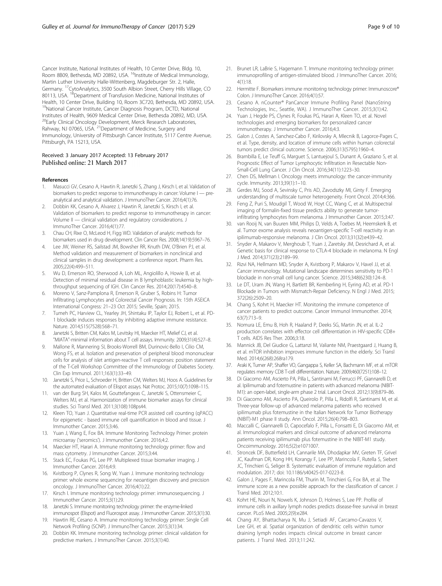<span id="page-8-0"></span>Cancer Institute, National Institutes of Health, 10 Center Drive, Bldg. 10, Room 8B09, Bethesda, MD 20892, USA. <sup>16</sup>Institute of Medical Immunology, Martin Luther University Halle-Wittenberg, Magdeburger Str. 2, Halle, Germany. 17CytoAnalytics, 3500 South Albion Street, Cherry Hills Village, CO 80113, USA. <sup>18</sup>Department of Transfusion Medicine, National Institutes of Health, 10 Center Drive, Building 10, Room 3C720, Bethesda, MD 20892, USA. <sup>19</sup>National Cancer Institute, Cancer Diagnosis Program, DCTD, National Institutes of Health, 9609 Medical Center Drive, Bethesda 20892, MD, USA. <sup>20</sup>Early Clinical Oncology Development, Merck Research Laboratories, Rahway, NJ 07065, USA.<sup>21</sup>Department of Medicine, Surgery and Immunology, University of Pittsburgh Cancer Institute, 5117 Centre Avenue, Pittsburgh, PA 15213, USA.

#### Received: 3 January 2017 Accepted: 13 February 2017 Published online: 21 March 2017

#### References

- Masucci GV, Cesano A, Hawtin R, Janetzki S, Zhang J, Kirsch I, et al. Validation of biomarkers to predict response to immunotherapy in cancer: Volume I — preanalytical and analytical validation. J ImmunoTher Cancer. 2016;4(1):76.
- Dobbin KK, Cesano A, Alvarez J, Hawtin R, Janetzki S, Kirsch I, et al. Validation of biomarkers to predict response to immunotherapy in cancer: Volume II — clinical validation and regulatory considerations. J ImmunoTher Cancer. 2016;4(1):77.
- 3. Chau CH, Rixe O, McLeod H, Figg WD. Validation of analytic methods for biomarkers used in drug development. Clin Cancer Res. 2008;14(19):5967–76.
- 4. Lee JW, Weiner RS, Sailstad JM, Bowsher RR, Knuth DW, O'Brien PJ, et al. Method validation and measurement of biomarkers in nonclinical and clinical samples in drug development: a conference report. Pharm Res. 2005;22(4):499–511.
- 5. Wu D, Emerson RO, Sherwood A, Loh ML, Angiolillo A, Howie B, et al. Detection of minimal residual disease in B lymphoblastic leukemia by highthroughput sequencing of IGH. Clin Cancer Res. 2014;20(17):4540–8.
- 6. Moreno V, Sanz-Pamplona R, Emerson R, Gruber S, Robins H: Tumor Infiltrating Lymphocytes and Colorectal Cancer Prognosis. In: 15th ASEICA International Congress: 21–23 Oct 2015; Seville, Spain; 2015.
- 7. Tumeh PC, Harview CL, Yearley JH, Shintaku IP, Taylor EJ, Robert L, et al. PD-1 blockade induces responses by inhibiting adaptive immune resistance. Nature. 2014;515(7528):568–71.
- 8. Janetzki S, Britten CM, Kalos M, Levitsky HI, Maecker HT, Melief CJ, et al. "MIATA"-minimal information about T cell assays. Immunity. 2009;31(4):527–8.
- 9. Mallone R, Mannering SI, Brooks-Worrell BM, Durinovic-Bello I, Cilio CM, Wong FS, et al. Isolation and preservation of peripheral blood mononuclear cells for analysis of islet antigen-reactive T cell responses: position statement of the T-Cell Workshop Committee of the Immunology of Diabetes Society. Clin Exp Immunol. 2011;163(1):33–49.
- 10. Janetzki S, Price L, Schroeder H, Britten CM, Welters MJ, Hoos A. Guidelines for the automated evaluation of Elispot assays. Nat Protoc. 2015;10(7):1098–115.
- 11. van der Burg SH, Kalos M, Gouttefangeas C, Janetzki S, Ottensmeier C, Welters MJ, et al. Harmonization of immune biomarker assays for clinical studies. Sci Transl Med. 2011;3(108):108ps44.
- 12. Kleen TO, Yuan J. Quantitative real-time PCR assisted cell counting (qPACC) for epigenetic - based immune cell quantification in blood and tissue. J Immunother Cancer. 2015;3:46.
- 13. Yuan J, Wang E, Fox BA. Immune Monitoring Technology Primer: protein microarray ('seromics'). J Immunother Cancer. 2016;4:2.
- 14. Maecker HT, Harari A. Immune monitoring technology primer: flow and mass cytometry. J Immunother Cancer. 2015;3:44.
- 15. Stack EC, Foukas PG, Lee PP. Multiplexed tissue biomarker imaging. J Immunother Cancer. 2016;4:9.
- 16. Kvistborg P, Clynes R, Song W, Yuan J. Immune monitoring technology primer: whole exome sequencing for neoantigen discovery and precision oncology. J ImmunoTher Cancer. 2016;4(1):22.
- 17. Kirsch I. Immune monitoring technology primer: immunosequencing. J Immunother Cancer. 2015;3(1):29.
- 18. Janetzki S. Immune monitoring technology primer: the enzyme-linked immunospot (Elispot) and Fluorospot assay. J Immunother Cancer. 2015;3(1):30.
- 19. Hawtin RE, Cesano A. Immune monitoring technology primer: Single Cell Network Profiling (SCNP). J ImmunoTher Cancer. 2015;3(1):34.
- 20. Dobbin KK. Immune monitoring technology primer: clinical validation for predictive markers. J ImmunoTher Cancer. 2015;3(1):40.
- 21. Brunet LR, LaBrie S, Hagemann T. Immune monitoring technology primer: immunoprofiling of antigen-stimulated blood. J ImmunoTher Cancer. 2016; 4(1):18.
- 22. Hermitte F. Biomarkers immune monitoring technology primer: Immunoscore® Colon. J ImmunoTher Cancer. 2016;4(1):57.
- 23. Cesano A. nCounter® PanCancer Immune Profiling Panel (NanoString Technologies, Inc., Seattle, WA). J ImmunoTher Cancer. 2015;3(1):42.
- 24. Yuan J, Hegde PS, Clynes R, Foukas PG, Harari A, Kleen TO, et al. Novel technologies and emerging biomarkers for personalized cancer immunotherapy. J Immunother Cancer. 2016;4:3.
- 25. Galon J, Costes A, Sanchez-Cabo F, Kirilovsky A, Mlecnik B, Lagorce-Pages C, et al. Type, density, and location of immune cells within human colorectal tumors predict clinical outcome. Science. 2006;313(5795):1960–4.
- 26. Brambilla E, Le Teuff G, Marguet S, Lantuejoul S, Dunant A, Graziano S, et al. Prognostic Effect of Tumor Lymphocytic Infiltration in Resectable Non-Small-Cell Lung Cancer. J Clin Oncol. 2016;34(11):1223–30.
- 27. Chen DS, Mellman I. Oncology meets immunology: the cancer-immunity cycle. Immunity. 2013;39(1):1–10.
- 28. Gerdes MJ, Sood A, Sevinsky C, Pris AD, Zavodszky MI, Ginty F. Emerging understanding of multiscale tumor heterogeneity. Front Oncol. 2014;4:366.
- 29. Feng Z, Puri S, Moudgil T, Wood W, Hoyt CC, Wang C, et al. Multispectral imaging of formalin-fixed tissue predicts ability to generate tumorinfiltrating lymphocytes from melanoma. J Immunother Cancer. 2015;3:47.
- 30. van Rooij N, van Buuren MM, Philips D, Velds A, Toebes M, Heemskerk B, et al. Tumor exome analysis reveals neoantigen-specific T-cell reactivity in an ipilimumab-responsive melanoma. J Clin Oncol. 2013;31(32):e439–42.
- 31. Snyder A, Makarov V, Merghoub T, Yuan J, Zaretsky JM, Desrichard A, et al. Genetic basis for clinical response to CTLA-4 blockade in melanoma. N Engl J Med. 2014;371(23):2189–99.
- 32. Rizvi NA, Hellmann MD, Snyder A, Kvistborg P, Makarov V, Havel JJ, et al. Cancer immunology. Mutational landscape determines sensitivity to PD-1 blockade in non-small cell lung cancer. Science. 2015;348(6230):124–8.
- 33. Le DT, Uram JN, Wang H, Bartlett BR, Kemberling H, Eyring AD, et al. PD-1 Blockade in Tumors with Mismatch-Repair Deficiency. N Engl J Med. 2015; 372(26):2509–20.
- 34. Chang S, Kohrt H, Maecker HT. Monitoring the immune competence of cancer patients to predict outcome. Cancer Immunol Immunother. 2014; 63(7):713–9.
- 35. Nomura LE, Emu B, Hoh R, Haaland P, Deeks SG, Martin JN, et al. IL-2 production correlates with effector cell differentiation in HIV-specific CD8+ T cells. AIDS Res Ther. 2006;3:18.
- 36. Mannick JB, Del Giudice G, Lattanzi M, Valiante NM, Praestgaard J, Huang B, et al. mTOR inhibition improves immune function in the elderly. Sci Transl Med. 2014;6(268):268ra179.
- 37. Araki K, Turner AP, Shaffer VO, Gangappa S, Keller SA, Bachmann MF, et al. mTOR regulates memory CD8 T-cell differentiation. Nature. 2009;460(7251):108–12.
- Di Giacomo AM, Ascierto PA, Pilla L, Santinami M, Ferrucci PF, Giannarelli D, et al. Ipilimumab and fotemustine in patients with advanced melanoma (NIBIT-M1): an open-label, single-arm phase 2 trial. Lancet Oncol. 2012;13(9):879–86.
- 39. Di Giacomo AM, Ascierto PA, Queirolo P, Pilla L, Ridolfi R, Santinami M, et al. Three-year follow-up of advanced melanoma patients who received ipilimumab plus fotemustine in the Italian Network for Tumor Biotherapy (NIBIT)-M1 phase II study. Ann Oncol. 2015;26(4):798–803.
- 40. Maccalli C, Giannarelli D, Capocefalo F, Pilla L, Fonsatti E, Di Giacomo AM, et al. Immunological markers and clinical outcome of advanced melanoma patients receiving ipilimumab plus fotemustine in the NIBIT-M1 study. Oncoimmunology. 2016;5(2):e1071007.
- 41. Stroncek DF, Butterfield LH, Cannarile MA, Dhodapkar MV, Greten TF, Grivel JC, Kaufman DR, Kong HH, Korangy F, Lee PP, Marincola F, Rutella S, Siebert JC, Trinchieri G, Seliger B. Systematic evaluation of immune regulation and modulation. 2017; doi: [10.1186/s40425-017-0223-8.](http://dx.doi.org/10.1186/s40425-017-0223-8)
- 42. Galon J, Pages F, Marincola FM, Thurin M, Trinchieri G, Fox BA, et al. The immune score as a new possible approach for the classification of cancer. J Transl Med. 2012;10:1.
- 43. Kohrt HE, Nouri N, Nowels K, Johnson D, Holmes S, Lee PP. Profile of immune cells in axillary lymph nodes predicts disease-free survival in breast cancer. PLoS Med. 2005;2(9):e284.
- 44. Chang AY, Bhattacharya N, Mu J, Setiadi AF, Carcamo-Cavazos V, Lee GH, et al. Spatial organization of dendritic cells within tumor draining lymph nodes impacts clinical outcome in breast cancer patients. J Transl Med. 2013;11:242.